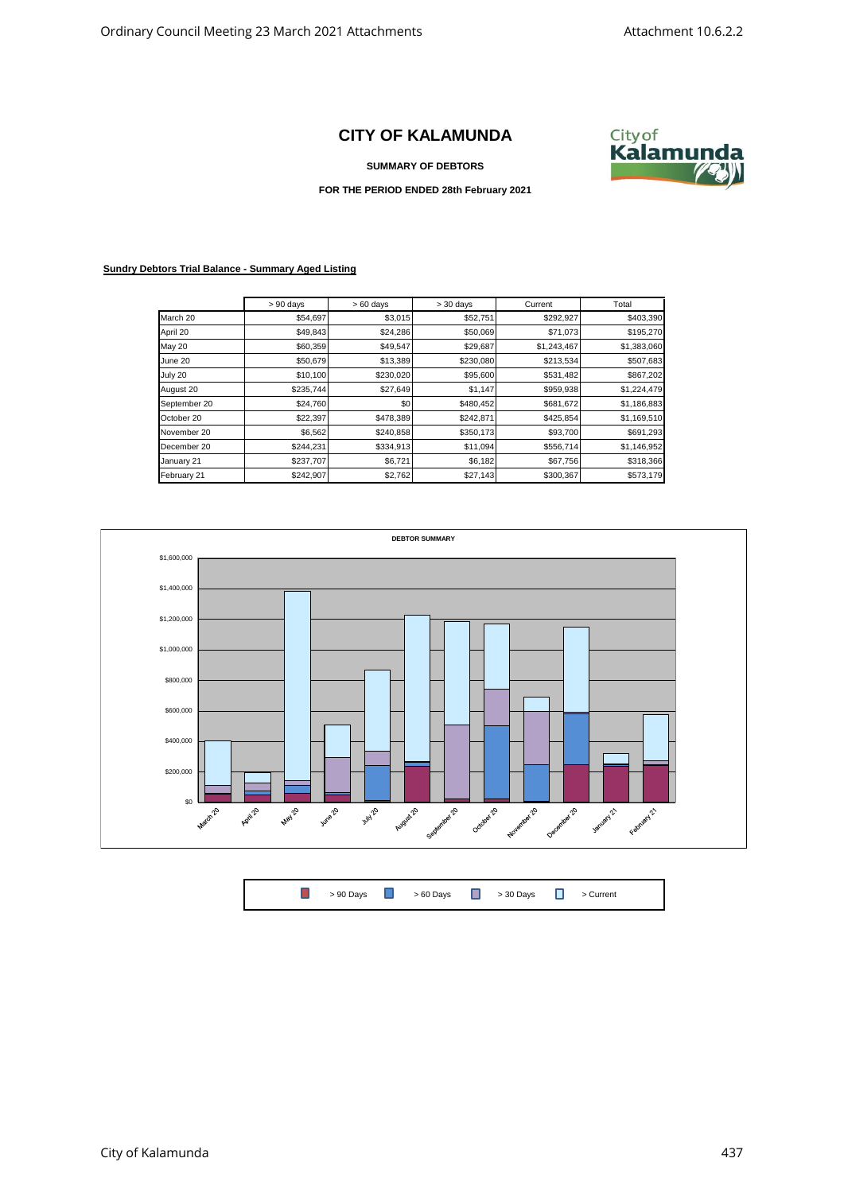## **CITY OF KALAMUNDA**





**FOR THE PERIOD ENDED 28th February 2021**

## **Sundry Debtors Trial Balance - Summary Aged Listing**

|               | $> 90$ days | $>60$ days | $> 30$ days | Current     | Total       |
|---------------|-------------|------------|-------------|-------------|-------------|
| March 20      | \$54,697    | \$3,015    | \$52,751    | \$292,927   | \$403,390   |
| April 20      | \$49,843    | \$24,286   | \$50,069    | \$71,073    | \$195,270   |
| <b>May 20</b> | \$60,359    | \$49,547   | \$29,687    | \$1,243,467 | \$1,383,060 |
| June 20       | \$50,679    | \$13,389   | \$230,080   | \$213,534   | \$507,683   |
| July 20       | \$10,100    | \$230,020  | \$95,600    | \$531,482   | \$867,202   |
| August 20     | \$235,744   | \$27,649   | \$1,147     | \$959,938   | \$1,224,479 |
| September 20  | \$24,760    | \$0        | \$480,452   | \$681,672   | \$1,186,883 |
| October 20    | \$22,397    | \$478,389  | \$242,871   | \$425,854   | \$1,169,510 |
| November 20   | \$6,562     | \$240,858  | \$350,173   | \$93,700    | \$691,293   |
| December 20   | \$244,231   | \$334,913  | \$11,094    | \$556,714   | \$1,146,952 |
| January 21    | \$237,707   | \$6,721    | \$6,182     | \$67,756    | \$318,366   |
| February 21   | \$242,907   | \$2,762    | \$27,143    | \$300,367   | \$573,179   |